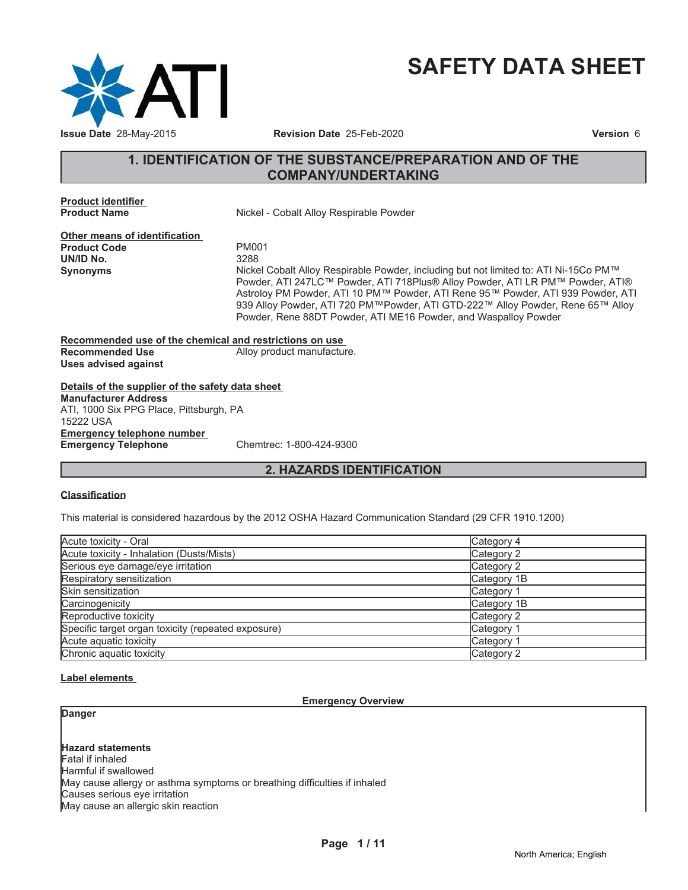

# **SAFETY DATA SHEET**

# **1. IDENTIFICATION OF THE SUBSTANCE/PREPARATION AND OF THE COMPANY/UNDERTAKING**

**Product identifier**

**Nickel - Cobalt Alloy Respirable Powder** 

**Other means of identification** Product Code **PM001**<br>
UN/ID No. 3288 **UN/ID No.** 

**Synonyms** 1LFTNHO&REDOW: Nickel Cobalt Alloy Respirable Powder, including but not limited to: ATI Ni-15Co PM™ Powder, ATI 247LC™ Powder, ATI 718Plus® Alloy Powder, ATI LR PM™ Powder, ATI® Astroloy PM Powder, ATI 10 PM™ Powder, ATI Rene 95™ Powder, ATI 939 Powder, ATI 939 Alloy Powder, ATI 720 PM™Powder, ATI GTD-222™ Alloy Powder, Rene 65™ Alloy Powder, Rene 88DT Powder, ATI ME16 Powder, and Waspalloy Powder

**Recommended use of the chemical and restrictions on use Recommended Use** Alloy product manufacture. **Uses advised against**

**Details of the supplier of the safety data sheet Emergency telephone number Emergency Telephone** Chemtrec: 1-800-424-9300 **Manufacturer Address** ATI, 1000 Six PPG Place, Pittsburgh, PA 15222 USA

# **2. HAZARDS IDENTIFICATION**

#### **Classification**

This material is considered hazardous by the 2012 OSHA Hazard Communication Standard (29 CFR 1910.1200)

| Acute toxicity - Oral                              | Category 4  |
|----------------------------------------------------|-------------|
| Acute toxicity - Inhalation (Dusts/Mists)          | Category 2  |
| Serious eye damage/eye irritation                  | Category 2  |
| Respiratory sensitization                          | Category 1B |
| Skin sensitization                                 | Category 1  |
| Carcinogenicity                                    | Category 1B |
| Reproductive toxicity                              | Category 2  |
| Specific target organ toxicity (repeated exposure) | Category 1  |
| Acute aquatic toxicity                             | Category 1  |
| Chronic aquatic toxicity                           | Category 2  |

#### **Label elements**

#### **Emergency Overview**

**Danger**

**Hazard statements** Fatal if inhaled Harmful if swallowed May cause allergy or asthma symptoms or breathing difficulties if inhaled Causes serious eye irritation May cause an allergic skin reaction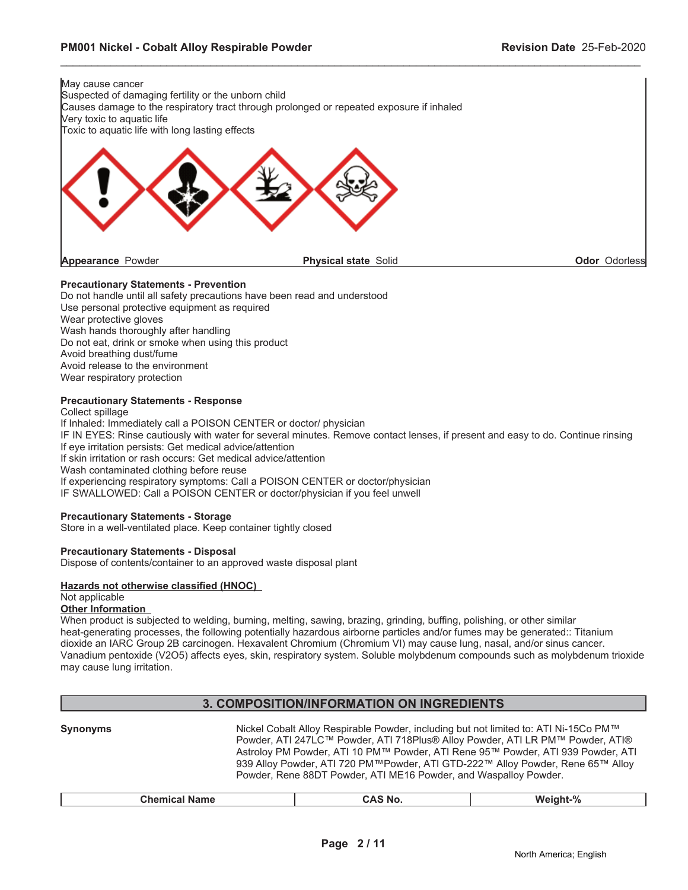

#### **Precautionary Statements - Prevention**

Do not handle until all safety precautions have been read and understood Use personal protective equipment as required Wear protective gloves Wash hands thoroughly after handling Do not eat, drink or smoke when using this product Avoid breathing dust/fume Avoid release to the environment Wear respiratory protection

#### **Precautionary Statements - Response**

Collect spillage If Inhaled: Immediately call a POISON CENTER or doctor/ physician IF IN EYES: Rinse cautiously with water for several minutes. Remove contact lenses, if present and easy to do. Continue rinsing If eye irritation persists: Get medical advice/attention If skin irritation or rash occurs: Get medical advice/attention Wash contaminated clothing before reuse If experiencing respiratory symptoms: Call a POISON CENTER or doctor/physician IF SWALLOWED: Call a POISON CENTER or doctor/physician if you feel unwell

#### **Precautionary Statements - Storage**

Store in a well-ventilated place. Keep container tightly closed

#### **Precautionary Statements - Disposal**

Dispose of contents/container to an approved waste disposal plant

#### **Hazards not otherwise classified (HNOC)**

#### Not applicable

#### **Other Information**

When product is subjected to welding, burning, melting, sawing, brazing, grinding, buffing, polishing, or other similar heat-generating processes, the following potentially hazardous airborne particles and/or fumes may be generated:: Titanium dioxide an IARC Group 2B carcinogen. Hexavalent Chromium (Chromium VI) may cause lung, nasal, and/or sinus cancer. Vanadium pentoxide (V2O5) affects eyes, skin, respiratory system. Soluble molybdenum compounds such as molybdenum trioxide may cause lung irritation.

# **3. COMPOSITION/INFORMATION ON INGREDIENTS**

| <b>Synonyms</b>      | Nickel Cobalt Alloy Respirable Powder, including but not limited to: ATI Ni-15Co PM™<br>Powder, ATI 247LC™ Powder, ATI 718Plus® Alloy Powder, ATI LR PM™ Powder, ATI®<br>Astroloy PM Powder, ATI 10 PM™ Powder, ATI Rene 95™ Powder, ATI 939 Powder, ATI<br>939 Alloy Powder, ATI 720 PM™Powder, ATI GTD-222™ Alloy Powder, Rene 65™ Alloy<br>Powder, Rene 88DT Powder, ATI ME16 Powder, and Waspalloy Powder. |          |
|----------------------|----------------------------------------------------------------------------------------------------------------------------------------------------------------------------------------------------------------------------------------------------------------------------------------------------------------------------------------------------------------------------------------------------------------|----------|
| <b>Chemical Name</b> | <b>CAS No.</b>                                                                                                                                                                                                                                                                                                                                                                                                 | Weight-% |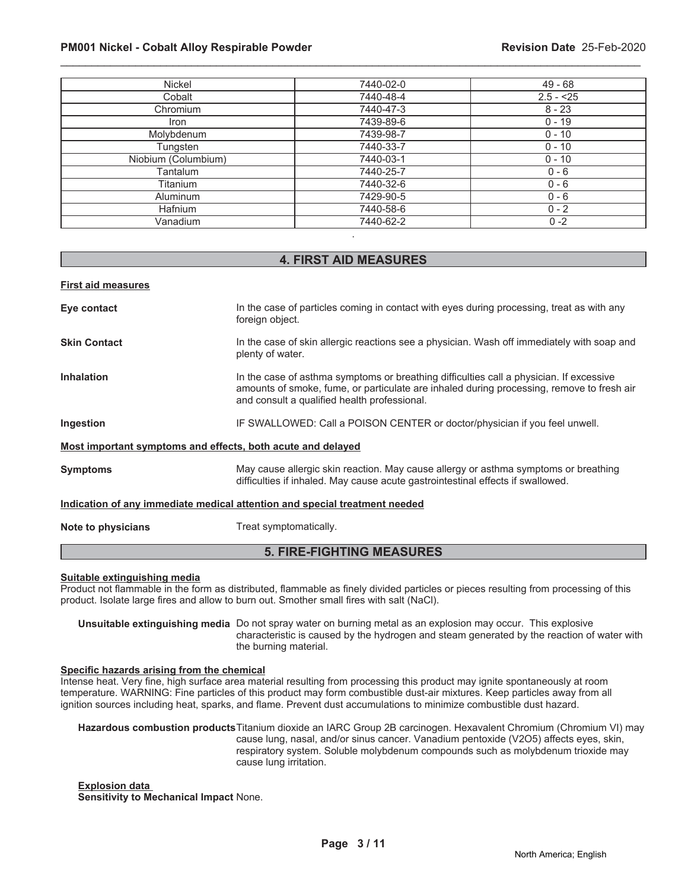#### **PM001 Nickel - Cobalt Alloy Respirable Powder Revision Date** 25-Feb-2020

| Nickel              | 7440-02-0 | 49 - 68    |
|---------------------|-----------|------------|
| Cobalt              | 7440-48-4 | $2.5 - 25$ |
| Chromium            | 7440-47-3 | $8 - 23$   |
| <b>Iron</b>         | 7439-89-6 | $0 - 19$   |
| Molybdenum          | 7439-98-7 | $0 - 10$   |
| Tungsten            | 7440-33-7 | $0 - 10$   |
| Niobium (Columbium) | 7440-03-1 | $0 - 10$   |
| Tantalum            | 7440-25-7 | $0 - 6$    |
| Titanium            | 7440-32-6 | $0 - 6$    |
| Aluminum            | 7429-90-5 | $0 - 6$    |
| Hafnium             | 7440-58-6 | $0 - 2$    |
| Vanadium            | 7440-62-2 | $0 - 2$    |
|                     |           |            |

\_\_\_\_\_\_\_\_\_\_\_\_\_\_\_\_\_\_\_\_\_\_\_\_\_\_\_\_\_\_\_\_\_\_\_\_\_\_\_\_\_\_\_\_\_\_\_\_\_\_\_\_\_\_\_\_\_\_\_\_\_\_\_\_\_\_\_\_\_\_\_\_\_\_\_\_\_\_\_\_\_\_\_\_\_\_\_\_\_\_\_\_\_

#### **4. FIRST AID MEASURES**

**First aid measures**

| Eye contact                                                                | In the case of particles coming in contact with eyes during processing, treat as with any<br>foreign object.                                                                                                                         |  |
|----------------------------------------------------------------------------|--------------------------------------------------------------------------------------------------------------------------------------------------------------------------------------------------------------------------------------|--|
| <b>Skin Contact</b>                                                        | In the case of skin allergic reactions see a physician. Wash off immediately with soap and<br>plenty of water.                                                                                                                       |  |
| <b>Inhalation</b>                                                          | In the case of asthma symptoms or breathing difficulties call a physician. If excessive<br>amounts of smoke, fume, or particulate are inhaled during processing, remove to fresh air<br>and consult a qualified health professional. |  |
| Ingestion                                                                  | IF SWALLOWED: Call a POISON CENTER or doctor/physician if you feel unwell.                                                                                                                                                           |  |
| Most important symptoms and effects, both acute and delayed                |                                                                                                                                                                                                                                      |  |
| <b>Symptoms</b>                                                            | May cause allergic skin reaction. May cause allergy or asthma symptoms or breathing<br>difficulties if inhaled. May cause acute gastrointestinal effects if swallowed.                                                               |  |
| Indication of any immediate medical attention and special treatment needed |                                                                                                                                                                                                                                      |  |
| Note to physicians                                                         | Treat symptomatically.                                                                                                                                                                                                               |  |

# **5. FIRE-FIGHTING MEASURES**

#### **Suitable extinguishing media**

Product not flammable in the form as distributed, flammable as finely divided particles or pieces resulting from processing of this product. Isolate large fires and allow to burn out. Smother small fires with salt (NaCl).

**Unsuitable extinguishing media** Do not spray water on burning metal as an explosion may occur. This explosive characteristic is caused by the hydrogen and steam generated by the reaction of water with the burning material.

#### **Specific hazards arising from the chemical**

Intense heat. Very fine, high surface area material resulting from processing this product may ignite spontaneously at room temperature. WARNING: Fine particles of this product may form combustible dust-air mixtures. Keep particles away from all ignition sources including heat, sparks, and flame. Prevent dust accumulations to minimize combustible dust hazard.

**Hazardous combustion products**Titanium dioxide an IARC Group 2B carcinogen. Hexavalent Chromium (Chromium VI) may cause lung, nasal, and/or sinus cancer. Vanadium pentoxide (V2O5) affects eyes, skin, respiratory system. Soluble molybdenum compounds such as molybdenum trioxide may cause lung irritation.

**Explosion data Sensitivity to Mechanical Impact** None.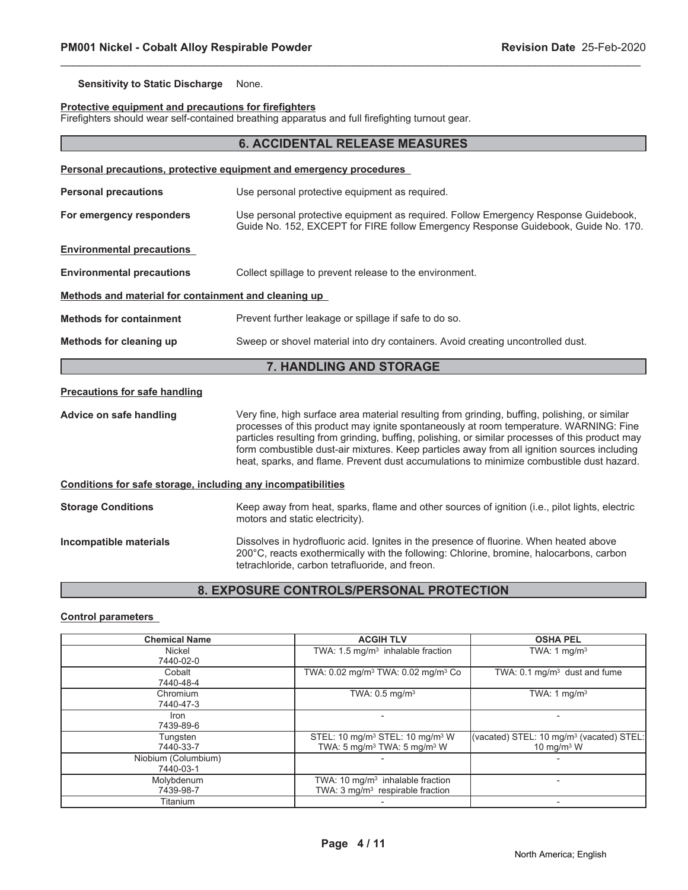#### **Sensitivity to Static Discharge** None.

#### **Protective equipment and precautions for firefighters**

Firefighters should wear self-contained breathing apparatus and full firefighting turnout gear.

|                                                                     | <b>6. ACCIDENTAL RELEASE MEASURES</b>                                                                                                                                                                                                                                                                                                                                                                                                                                                |  |  |
|---------------------------------------------------------------------|--------------------------------------------------------------------------------------------------------------------------------------------------------------------------------------------------------------------------------------------------------------------------------------------------------------------------------------------------------------------------------------------------------------------------------------------------------------------------------------|--|--|
| Personal precautions, protective equipment and emergency procedures |                                                                                                                                                                                                                                                                                                                                                                                                                                                                                      |  |  |
| <b>Personal precautions</b>                                         | Use personal protective equipment as required.                                                                                                                                                                                                                                                                                                                                                                                                                                       |  |  |
| For emergency responders                                            | Use personal protective equipment as required. Follow Emergency Response Guidebook,<br>Guide No. 152, EXCEPT for FIRE follow Emergency Response Guidebook, Guide No. 170.                                                                                                                                                                                                                                                                                                            |  |  |
| <b>Environmental precautions</b>                                    |                                                                                                                                                                                                                                                                                                                                                                                                                                                                                      |  |  |
| <b>Environmental precautions</b>                                    | Collect spillage to prevent release to the environment.                                                                                                                                                                                                                                                                                                                                                                                                                              |  |  |
| Methods and material for containment and cleaning up                |                                                                                                                                                                                                                                                                                                                                                                                                                                                                                      |  |  |
| <b>Methods for containment</b>                                      | Prevent further leakage or spillage if safe to do so.                                                                                                                                                                                                                                                                                                                                                                                                                                |  |  |
| Methods for cleaning up                                             | Sweep or shovel material into dry containers. Avoid creating uncontrolled dust.                                                                                                                                                                                                                                                                                                                                                                                                      |  |  |
|                                                                     | 7. HANDLING AND STORAGE                                                                                                                                                                                                                                                                                                                                                                                                                                                              |  |  |
| <b>Precautions for safe handling</b>                                |                                                                                                                                                                                                                                                                                                                                                                                                                                                                                      |  |  |
| Advice on safe handling                                             | Very fine, high surface area material resulting from grinding, buffing, polishing, or similar<br>processes of this product may ignite spontaneously at room temperature. WARNING: Fine<br>particles resulting from grinding, buffing, polishing, or similar processes of this product may<br>form combustible dust-air mixtures. Keep particles away from all ignition sources including<br>heat, sparks, and flame. Prevent dust accumulations to minimize combustible dust hazard. |  |  |
| Conditions for safe storage, including any incompatibilities        |                                                                                                                                                                                                                                                                                                                                                                                                                                                                                      |  |  |
| <b>Storage Conditions</b>                                           | Keep away from heat, sparks, flame and other sources of ignition (i.e., pilot lights, electric<br>motors and static electricity).                                                                                                                                                                                                                                                                                                                                                    |  |  |
| Incompatible materials                                              | Dissolves in hydrofluoric acid. Ignites in the presence of fluorine. When heated above<br>200°C, reacts exothermically with the following: Chlorine, bromine, halocarbons, carbon<br>tetrachloride, carbon tetrafluoride, and freon.                                                                                                                                                                                                                                                 |  |  |

\_\_\_\_\_\_\_\_\_\_\_\_\_\_\_\_\_\_\_\_\_\_\_\_\_\_\_\_\_\_\_\_\_\_\_\_\_\_\_\_\_\_\_\_\_\_\_\_\_\_\_\_\_\_\_\_\_\_\_\_\_\_\_\_\_\_\_\_\_\_\_\_\_\_\_\_\_\_\_\_\_\_\_\_\_\_\_\_\_\_\_\_\_

# **8. EXPOSURE CONTROLS/PERSONAL PROTECTION**

#### **Control parameters**

| <b>Chemical Name</b>             | <b>ACGIH TLV</b>                                                                                               | <b>OSHA PEL</b>                                                       |
|----------------------------------|----------------------------------------------------------------------------------------------------------------|-----------------------------------------------------------------------|
| Nickel<br>7440-02-0              | TWA: $1.5 \text{ mg/m}^3$ inhalable fraction                                                                   | TWA: 1 $mq/m3$                                                        |
| Cobalt<br>7440-48-4              | TWA: 0.02 mg/m <sup>3</sup> TWA: 0.02 mg/m <sup>3</sup> Co                                                     | TWA: $0.1 \text{ mg/m}^3$ dust and fume                               |
| Chromium<br>7440-47-3            | TWA: $0.5$ mg/m <sup>3</sup>                                                                                   | TWA: 1 $mq/m3$                                                        |
| Iron<br>7439-89-6                |                                                                                                                |                                                                       |
| Tungsten<br>7440-33-7            | STEL: 10 mg/m <sup>3</sup> STEL: 10 mg/m <sup>3</sup> W<br>TWA: 5 mg/m <sup>3</sup> TWA: 5 mg/m <sup>3</sup> W | (vacated) STEL: 10 mg/m <sup>3</sup> (vacated) STEL:<br>10 mg/m $3$ W |
| Niobium (Columbium)<br>7440-03-1 |                                                                                                                |                                                                       |
| Molybdenum<br>7439-98-7          | TWA: 10 $mg/m3$ inhalable fraction<br>TWA: 3 mg/m <sup>3</sup> respirable fraction                             |                                                                       |
| Titanium                         |                                                                                                                |                                                                       |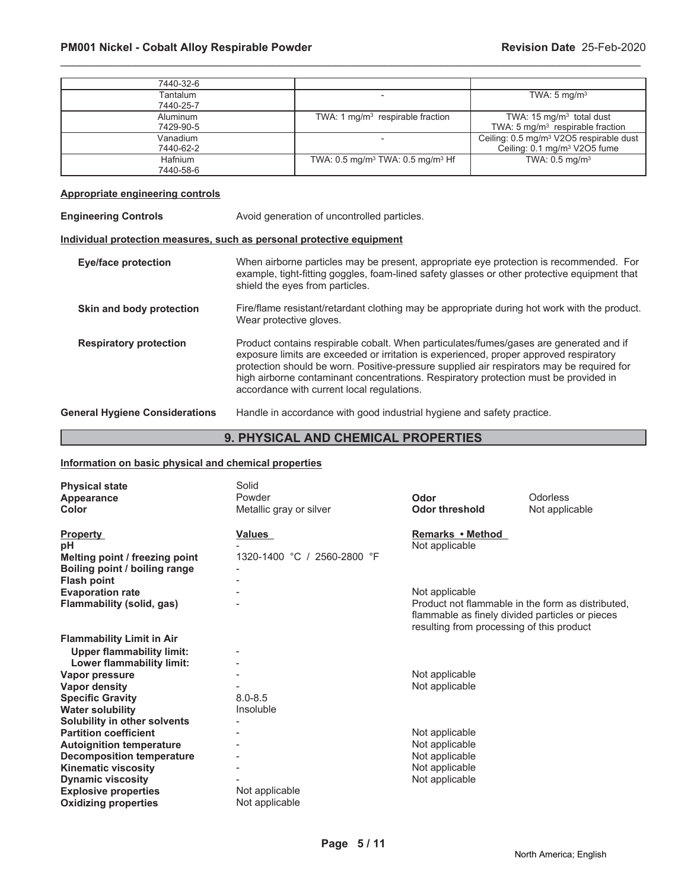| 7440-32-6 |                                                        |                                                     |
|-----------|--------------------------------------------------------|-----------------------------------------------------|
| Tantalum  |                                                        | TWA: $5 \text{ mg/m}^3$                             |
| 7440-25-7 |                                                        |                                                     |
| Aluminum  | TWA: 1 $mg/m3$ respirable fraction                     | TWA: $15 \text{ mg/m}^3$ total dust                 |
| 7429-90-5 |                                                        | TWA: $5 \text{ mg/m}^3$ respirable fraction         |
| Vanadium  |                                                        | Ceiling: 0.5 mg/m <sup>3</sup> V2O5 respirable dust |
| 7440-62-2 |                                                        | Ceiling: 0.1 mg/m <sup>3</sup> V2O5 fume            |
| Hafnium   | TWA: $0.5 \text{ mg/m}^3$ TWA: $0.5 \text{ mg/m}^3$ Hf | TWA: $0.5$ mg/m <sup>3</sup>                        |
| 7440-58-6 |                                                        |                                                     |

#### **Appropriate engineering controls**

| <b>Engineering Controls</b>           | Avoid generation of uncontrolled particles.                                                                                                                                                                                                                                                                                                                                                                         |  |
|---------------------------------------|---------------------------------------------------------------------------------------------------------------------------------------------------------------------------------------------------------------------------------------------------------------------------------------------------------------------------------------------------------------------------------------------------------------------|--|
|                                       | Individual protection measures, such as personal protective equipment                                                                                                                                                                                                                                                                                                                                               |  |
| <b>Eye/face protection</b>            | When airborne particles may be present, appropriate eye protection is recommended. For<br>example, tight-fitting goggles, foam-lined safety glasses or other protective equipment that<br>shield the eyes from particles.                                                                                                                                                                                           |  |
| Skin and body protection              | Fire/flame resistant/retardant clothing may be appropriate during hot work with the product.<br>Wear protective gloves.                                                                                                                                                                                                                                                                                             |  |
| <b>Respiratory protection</b>         | Product contains respirable cobalt. When particulates/fumes/gases are generated and if<br>exposure limits are exceeded or irritation is experienced, proper approved respiratory<br>protection should be worn. Positive-pressure supplied air respirators may be required for<br>high airborne contaminant concentrations. Respiratory protection must be provided in<br>accordance with current local regulations. |  |
| <b>General Hygiene Considerations</b> | Handle in accordance with good industrial hygiene and safety practice.                                                                                                                                                                                                                                                                                                                                              |  |

# **9. PHYSICAL AND CHEMICAL PROPERTIES**

# **Information on basic physical and chemical properties**

| <b>Physical state</b><br>Appearance<br>Color                                                      | Solid<br>Powder<br>Metallic gray or silver | Odor<br><b>Odor threshold</b>                                                                                                                     | Odorless<br>Not applicable |
|---------------------------------------------------------------------------------------------------|--------------------------------------------|---------------------------------------------------------------------------------------------------------------------------------------------------|----------------------------|
| <b>Property</b><br>pН<br>Melting point / freezing point<br>Boiling point / boiling range          | Values<br>1320-1400 °C / 2560-2800 °F      | Remarks • Method<br>Not applicable                                                                                                                |                            |
| <b>Flash point</b><br><b>Evaporation rate</b>                                                     |                                            | Not applicable                                                                                                                                    |                            |
| Flammability (solid, gas)                                                                         |                                            | Product not flammable in the form as distributed,<br>flammable as finely divided particles or pieces<br>resulting from processing of this product |                            |
| <b>Flammability Limit in Air</b><br><b>Upper flammability limit:</b><br>Lower flammability limit: | $\overline{\phantom{a}}$                   |                                                                                                                                                   |                            |
| Vapor pressure<br>Vapor density                                                                   |                                            | Not applicable<br>Not applicable                                                                                                                  |                            |
| <b>Specific Gravity</b><br><b>Water solubility</b>                                                | $8.0 - 8.5$<br>Insoluble                   |                                                                                                                                                   |                            |
| Solubility in other solvents<br><b>Partition coefficient</b><br><b>Autoignition temperature</b>   |                                            | Not applicable<br>Not applicable                                                                                                                  |                            |
| <b>Decomposition temperature</b><br><b>Kinematic viscosity</b>                                    |                                            | Not applicable<br>Not applicable                                                                                                                  |                            |
| <b>Dynamic viscosity</b><br><b>Explosive properties</b>                                           | Not applicable<br>Not applicable           | Not applicable                                                                                                                                    |                            |
| <b>Oxidizing properties</b>                                                                       |                                            |                                                                                                                                                   |                            |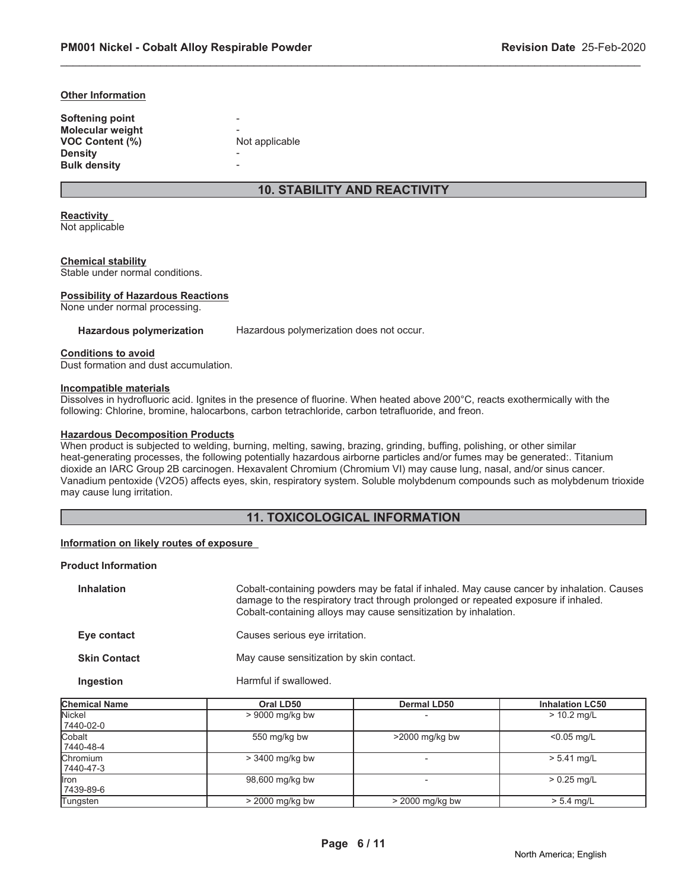#### **Other Information**

| Softening point         |                |
|-------------------------|----------------|
| <b>Molecular weight</b> |                |
| <b>VOC Content (%)</b>  | Not applicable |
| <b>Density</b>          |                |
| <b>Bulk density</b>     |                |

# **10. STABILITY AND REACTIVITY**

\_\_\_\_\_\_\_\_\_\_\_\_\_\_\_\_\_\_\_\_\_\_\_\_\_\_\_\_\_\_\_\_\_\_\_\_\_\_\_\_\_\_\_\_\_\_\_\_\_\_\_\_\_\_\_\_\_\_\_\_\_\_\_\_\_\_\_\_\_\_\_\_\_\_\_\_\_\_\_\_\_\_\_\_\_\_\_\_\_\_\_\_\_

#### **Reactivity**

Not applicable

#### **Chemical stability**

Stable under normal conditions.

#### **Possibility of Hazardous Reactions**

None under normal processing.

Hazardous polymerization Hazardous polymerization does not occur.

#### **Conditions to avoid**

Dust formation and dust accumulation.

#### **Incompatible materials**

Dissolves in hydrofluoric acid. Ignites in the presence of fluorine. When heated above 200°C, reacts exothermically with the following: Chlorine, bromine, halocarbons, carbon tetrachloride, carbon tetrafluoride, and freon.

#### **Hazardous Decomposition Products**

When product is subjected to welding, burning, melting, sawing, brazing, grinding, buffing, polishing, or other similar heat-generating processes, the following potentially hazardous airborne particles and/or fumes may be generated:. Titanium dioxide an IARC Group 2B carcinogen. Hexavalent Chromium (Chromium VI) may cause lung, nasal, and/or sinus cancer. Vanadium pentoxide (V2O5) affects eyes, skin, respiratory system. Soluble molybdenum compounds such as molybdenum trioxide may cause lung irritation.

# **11. TOXICOLOGICAL INFORMATION**

#### **Information on likely routes of exposure**

#### **Product Information**

| <b>Inhalation</b>   | Cobalt-containing powders may be fatal if inhaled. May cause cancer by inhalation. Causes<br>damage to the respiratory tract through prolonged or repeated exposure if inhaled.<br>Cobalt-containing alloys may cause sensitization by inhalation. |
|---------------------|----------------------------------------------------------------------------------------------------------------------------------------------------------------------------------------------------------------------------------------------------|
| Eye contact         | Causes serious eye irritation.                                                                                                                                                                                                                     |
| <b>Skin Contact</b> | May cause sensitization by skin contact.                                                                                                                                                                                                           |
| Ingestion           | Harmful if swallowed.                                                                                                                                                                                                                              |

| <b>Chemical Name</b>          | Oral LD50         | <b>Dermal LD50</b>       | <b>Inhalation LC50</b> |
|-------------------------------|-------------------|--------------------------|------------------------|
| Nickel<br>7440-02-0           | $> 9000$ mg/kg bw | $\overline{\phantom{0}}$ | $> 10.2$ mg/L          |
| Cobalt<br>7440-48-4           | 550 mg/kg bw      | $>2000$ mg/kg bw         | $< 0.05$ mg/L          |
| <b>Chromium</b><br>17440-47-3 | $>$ 3400 mg/kg bw | -                        | $> 5.41$ mg/L          |
| llron<br>7439-89-6            | 98,600 mg/kg bw   |                          | $> 0.25$ mg/L          |
| Tungsten                      | $>$ 2000 mg/kg bw | $>$ 2000 mg/kg bw        | $> 5.4$ mg/L           |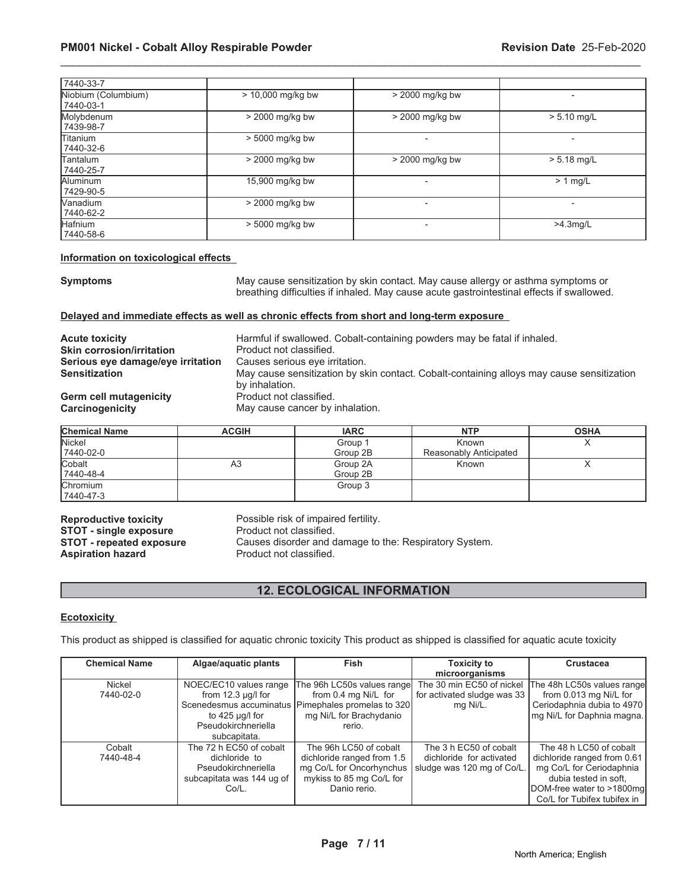| 17440-33-7                       |                     |                   |                          |
|----------------------------------|---------------------|-------------------|--------------------------|
| Niobium (Columbium)<br>7440-03-1 | $> 10,000$ mg/kg bw | > 2000 mg/kg bw   |                          |
| Molybdenum<br>7439-98-7          | $>$ 2000 mg/kg bw   | $>$ 2000 mg/kg bw | $> 5.10$ mg/L            |
| <b>Titanium</b><br>7440-32-6     | > 5000 mg/kg bw     |                   |                          |
| <b>Tantalum</b><br>7440-25-7     | > 2000 mg/kg bw     | $>$ 2000 mg/kg bw | $> 5.18$ mg/L            |
| Aluminum<br>7429-90-5            | 15,900 mg/kg bw     |                   | $> 1$ mg/L               |
| <b>Nanadium</b><br>7440-62-2     | $>$ 2000 mg/kg bw   |                   | $\overline{\phantom{a}}$ |
| Hafnium<br>  7440-58-6           | $> 5000$ mg/kg bw   | $\blacksquare$    | $>4.3$ mg/L              |

#### **Information on toxicological effects**

**Symptoms** May cause sensitization by skin contact. May cause allergy or asthma symptoms or breathing difficulties if inhaled. May cause acute gastrointestinal effects if swallowed.

#### **Delayed and immediate effects as well as chronic effects from short and long-term exposure**

| <b>Acute toxicity</b>             | Harmful if swallowed. Cobalt-containing powders may be fatal if inhaled.<br>Product not classified.         |
|-----------------------------------|-------------------------------------------------------------------------------------------------------------|
| <b>Skin corrosion/irritation</b>  |                                                                                                             |
| Serious eye damage/eye irritation | Causes serious eye irritation.                                                                              |
| <b>Sensitization</b>              | May cause sensitization by skin contact. Cobalt-containing alloys may cause sensitization<br>by inhalation. |
| <b>Germ cell mutagenicity</b>     | Product not classified.                                                                                     |
| Carcinogenicity                   | May cause cancer by inhalation.                                                                             |

| <b>Chemical Name</b> | <b>ACGIH</b> | <b>IARC</b> | <b>NTP</b>             | <b>OSHA</b> |
|----------------------|--------------|-------------|------------------------|-------------|
| <b>Nickel</b>        |              | Group 1     | Known                  | $\lambda$   |
| 7440-02-0            |              | Group 2B    | Reasonably Anticipated |             |
| Cobalt               | A3           | Group 2A    | Known                  |             |
| 7440-48-4            |              | Group 2B    |                        |             |
| <b>Chromium</b>      |              | Group 3     |                        |             |
| 7440-47-3            |              |             |                        |             |

**Reproductive toxicity** Possible risk of impaired fertility.<br>**STOT - single exposure** Product not classified. **STOT - single exposure Aspiration hazard** 

**STOT - repeated exposure** Causes disorder and damage to the: Respiratory System.<br>**Aspiration hazard** Product not classified.

# **12. ECOLOGICAL INFORMATION**

# **Ecotoxicity**

This product as shipped is classified for aquatic chronic toxicity This product as shipped is classified for aquatic acute toxicity

| <b>Chemical Name</b> | Algae/aquatic plants      | <b>Fish</b>                                          | <b>Toxicity to</b>          | Crustacea                   |
|----------------------|---------------------------|------------------------------------------------------|-----------------------------|-----------------------------|
|                      |                           |                                                      | microorganisms              |                             |
| <b>Nickel</b>        | NOEC/EC10 values range    | The 96h LC50s values range                           | The 30 min EC50 of nickel   | The 48h LC50s values range  |
| 7440-02-0            | from $12.3 \mu g/l$ for   | from 0.4 mg Ni/L for                                 | for activated sludge was 33 | from 0.013 mg Ni/L for      |
|                      |                           | Scenedesmus accuminatus   Pimephales promelas to 320 | mg Ni/L.                    | Ceriodaphnia dubia to 4970  |
|                      | to $425 \mu q/l$ for      | mg Ni/L for Brachydanio                              |                             | mg Ni/L for Daphnia magna.  |
|                      | Pseudokirchneriella       | rerio.                                               |                             |                             |
|                      | subcapitata.              |                                                      |                             |                             |
| Cobalt               | The 72 h EC50 of cobalt   | The 96h LC50 of cobalt                               | The 3 h EC50 of cobalt      | The 48 h LC50 of cobalt     |
| 7440-48-4            | dichloride to             | dichloride ranged from 1.5                           | dichloride for activated    | dichloride ranged from 0.61 |
|                      | Pseudokirchneriella       | mg Co/L for Oncorhynchus                             | sludge was 120 mg of Co/L.  | mg Co/L for Ceriodaphnia    |
|                      | subcapitata was 144 ug of | mykiss to 85 mg Co/L for                             |                             | dubia tested in soft,       |
|                      | Co/L.                     | Danio rerio.                                         |                             | DOM-free water to >1800mg   |
|                      |                           |                                                      |                             | Co/L for Tubifex tubifex in |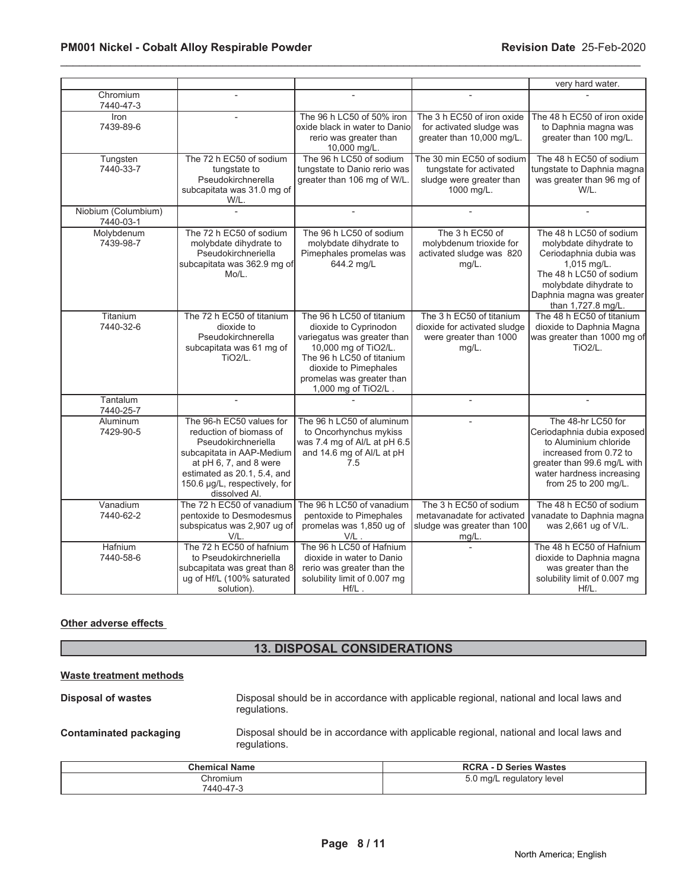|                                  |                                                                                                                                                                                                                    |                                                                                                                                                                                                                     |                                                                                                | very hard water.                                                                                                                                                                                   |
|----------------------------------|--------------------------------------------------------------------------------------------------------------------------------------------------------------------------------------------------------------------|---------------------------------------------------------------------------------------------------------------------------------------------------------------------------------------------------------------------|------------------------------------------------------------------------------------------------|----------------------------------------------------------------------------------------------------------------------------------------------------------------------------------------------------|
| Chromium<br>7440-47-3            |                                                                                                                                                                                                                    |                                                                                                                                                                                                                     |                                                                                                |                                                                                                                                                                                                    |
| Iron<br>7439-89-6                |                                                                                                                                                                                                                    | The 96 h LC50 of 50% iron<br>oxide black in water to Danio<br>rerio was greater than<br>10,000 mg/L.                                                                                                                | The 3 h EC50 of iron oxide<br>for activated sludge was<br>greater than 10,000 mg/L.            | The 48 h EC50 of iron oxide<br>to Daphnia magna was<br>greater than 100 mg/L.                                                                                                                      |
| Tungsten<br>7440-33-7            | The 72 h EC50 of sodium<br>tungstate to<br>Pseudokirchnerella<br>subcapitata was 31.0 mg of<br>W/L.                                                                                                                | The 96 h LC50 of sodium<br>tungstate to Danio rerio was<br>greater than 106 mg of W/L.                                                                                                                              | The 30 min EC50 of sodium<br>tungstate for activated<br>sludge were greater than<br>1000 mg/L. | The 48 h EC50 of sodium<br>tungstate to Daphnia magna<br>was greater than 96 mg of<br>W/L.                                                                                                         |
| Niobium (Columbium)<br>7440-03-1 |                                                                                                                                                                                                                    |                                                                                                                                                                                                                     |                                                                                                |                                                                                                                                                                                                    |
| Molybdenum<br>7439-98-7          | The 72 h EC50 of sodium<br>molybdate dihydrate to<br>Pseudokirchneriella<br>subcapitata was 362.9 mg of<br>Mo/L.                                                                                                   | The 96 h LC50 of sodium<br>molybdate dihydrate to<br>Pimephales promelas was<br>644.2 mg/L                                                                                                                          | The 3 h EC50 of<br>molybdenum trioxide for<br>activated sludge was 820<br>mg/L.                | The 48 h LC50 of sodium<br>molybdate dihydrate to<br>Ceriodaphnia dubia was<br>1,015 mg/L.<br>The 48 h LC50 of sodium<br>molybdate dihydrate to<br>Daphnia magna was greater<br>than 1,727.8 mg/L. |
| Titanium<br>7440-32-6            | The 72 h EC50 of titanium<br>dioxide to<br>Pseudokirchnerella<br>subcapitata was 61 mg of<br><b>TiO2/L.</b>                                                                                                        | The 96 h LC50 of titanium<br>dioxide to Cyprinodon<br>variegatus was greater than<br>10,000 mg of TiO2/L.<br>The 96 h LC50 of titanium<br>dioxide to Pimephales<br>promelas was greater than<br>1,000 mg of TiO2/L. | The 3 h EC50 of titanium<br>dioxide for activated sludge<br>were greater than 1000<br>$mg/L$ . | The 48 h EC50 of titanium<br>dioxide to Daphnia Magna<br>was greater than 1000 mg of<br><b>TiO2/L.</b>                                                                                             |
| Tantalum<br>7440-25-7            |                                                                                                                                                                                                                    |                                                                                                                                                                                                                     |                                                                                                |                                                                                                                                                                                                    |
| Aluminum<br>7429-90-5            | The 96-h EC50 values for<br>reduction of biomass of<br>Pseudokirchneriella<br>subcapitata in AAP-Medium<br>at pH 6, 7, and 8 were<br>estimated as 20.1, 5.4, and<br>150.6 µg/L, respectively, for<br>dissolved Al. | The 96 h LC50 of aluminum<br>to Oncorhynchus mykiss<br>was 7.4 mg of Al/L at pH 6.5<br>and 14.6 mg of Al/L at pH<br>7.5                                                                                             |                                                                                                | The 48-hr LC50 for<br>Ceriodaphnia dubia exposed<br>to Aluminium chloride<br>increased from 0.72 to<br>greater than 99.6 mg/L with<br>water hardness increasing<br>from 25 to 200 mg/L.            |
| Vanadium<br>7440-62-2            | The 72 h EC50 of vanadium<br>pentoxide to Desmodesmus<br>subspicatus was 2,907 ug of<br>V/L.                                                                                                                       | The 96 h LC50 of vanadium<br>pentoxide to Pimephales<br>promelas was 1,850 ug of<br>$V/L$ .                                                                                                                         | The 3 h EC50 of sodium<br>metavanadate for activated<br>sludge was greater than 100<br>mg/L.   | The 48 h EC50 of sodium<br>vanadate to Daphnia magna<br>was 2,661 ug of V/L.                                                                                                                       |
| Hafnium<br>7440-58-6             | The 72 h EC50 of hafnium<br>to Pseudokirchneriella<br>subcapitata was great than 8<br>ug of Hf/L (100% saturated<br>solution).                                                                                     | The 96 h LC50 of Hafnium<br>dioxide in water to Danio<br>rerio was greater than the<br>solubility limit of 0.007 mg<br>$Hf/L$ .                                                                                     |                                                                                                | The 48 h EC50 of Hafnium<br>dioxide to Daphnia magna<br>was greater than the<br>solubility limit of 0.007 mg<br>Hf/L.                                                                              |

#### **Other adverse effects**

# **13. DISPOSAL CONSIDERATIONS**

# **Waste treatment methods**

| <b>Disposal of wastes</b> | Disposal should be in accordance with applicable regional, national and local laws and |
|---------------------------|----------------------------------------------------------------------------------------|
|                           | regulations.                                                                           |
|                           |                                                                                        |

**Contaminated packaging** Disposal should be in accordance with applicable regional, national and local laws and regulations.

| <b>Chemical Name</b>  | <b>RCRA - D Series Wastes</b> |
|-----------------------|-------------------------------|
| Chromium<br>7440-47-3 | 5.0 mg/L regulatory level     |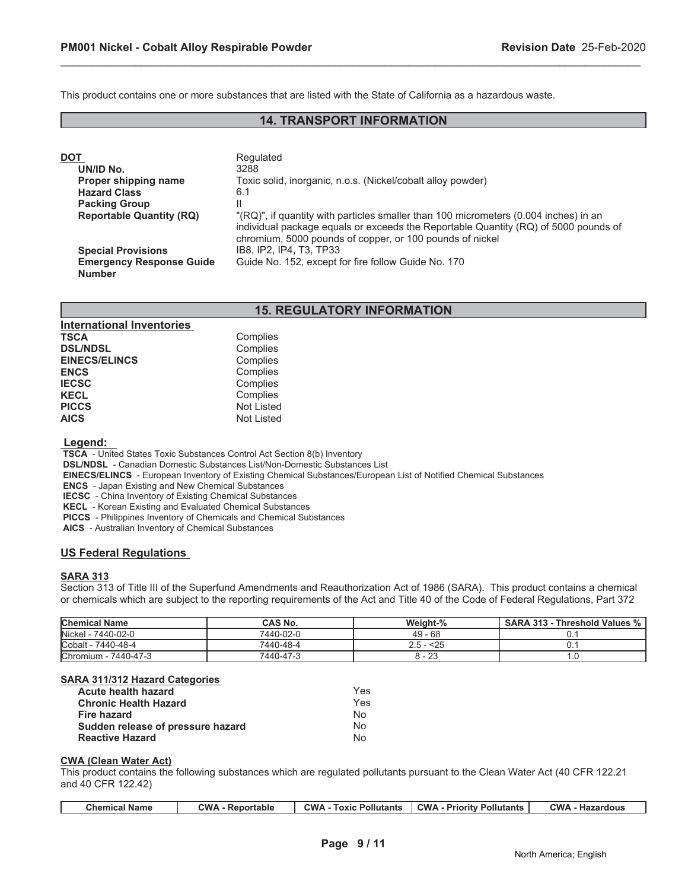This product contains one or more substances that are listed with the State of California as a hazardous waste.

# **14. TRANSPORT INFORMATION**

\_\_\_\_\_\_\_\_\_\_\_\_\_\_\_\_\_\_\_\_\_\_\_\_\_\_\_\_\_\_\_\_\_\_\_\_\_\_\_\_\_\_\_\_\_\_\_\_\_\_\_\_\_\_\_\_\_\_\_\_\_\_\_\_\_\_\_\_\_\_\_\_\_\_\_\_\_\_\_\_\_\_\_\_\_\_\_\_\_\_\_\_\_

| DOT                             | Regulated                                                                                                                                                                                                                               |
|---------------------------------|-----------------------------------------------------------------------------------------------------------------------------------------------------------------------------------------------------------------------------------------|
| UN/ID No.                       | 3288                                                                                                                                                                                                                                    |
| Proper shipping name            | Toxic solid, inorganic, n.o.s. (Nickel/cobalt alloy powder)                                                                                                                                                                             |
| <b>Hazard Class</b>             | 6.1                                                                                                                                                                                                                                     |
| <b>Packing Group</b>            |                                                                                                                                                                                                                                         |
| <b>Reportable Quantity (RQ)</b> | "(RQ)", if quantity with particles smaller than 100 micrometers (0.004 inches) in an<br>individual package equals or exceeds the Reportable Quantity (RQ) of 5000 pounds of<br>chromium, 5000 pounds of copper, or 100 pounds of nickel |
| <b>Special Provisions</b>       | IB8. IP2. IP4. T3. TP33                                                                                                                                                                                                                 |
| <b>Emergency Response Guide</b> | Guide No. 152, except for fire follow Guide No. 170                                                                                                                                                                                     |
| <b>Number</b>                   |                                                                                                                                                                                                                                         |

# **15. REGULATORY INFORMATION**

| <b>International Inventories</b> |                   |
|----------------------------------|-------------------|
| <b>TSCA</b>                      | Complies          |
| <b>DSL/NDSL</b>                  | Complies          |
| <b>EINECS/ELINCS</b>             | Complies          |
| <b>ENCS</b>                      | Complies          |
| <b>IECSC</b>                     | Complies          |
| <b>KECL</b>                      | Complies          |
| <b>PICCS</b>                     | <b>Not Listed</b> |
| <b>AICS</b>                      | <b>Not Listed</b> |

 **Legend:** 

 **TSCA** - United States Toxic Substances Control Act Section 8(b) Inventory

 **DSL/NDSL** - Canadian Domestic Substances List/Non-Domestic Substances List

 **EINECS/ELINCS** - European Inventory of Existing Chemical Substances/European List of Notified Chemical Substances

 **ENCS** - Japan Existing and New Chemical Substances

 **IECSC** - China Inventory of Existing Chemical Substances

 **KECL** - Korean Existing and Evaluated Chemical Substances

 **PICCS** - Philippines Inventory of Chemicals and Chemical Substances

 **AICS** - Australian Inventory of Chemical Substances

# **US Federal Regulations**

# **SARA 313**

Section 313 of Title III of the Superfund Amendments and Reauthorization Act of 1986 (SARA). This product contains a chemical or chemicals which are subject to the reporting requirements of the Act and Title 40 of the Code of Federal Regulations, Part 372

| <b>Chemical Name</b> | <b>CAS No.</b> | Weight-%           | SARA 313 - Threshold Values % |
|----------------------|----------------|--------------------|-------------------------------|
| Nickel - 7440-02-0   | 7440-02-0      | $49 - 68$          |                               |
| Cobalt - 7440-48-4   | 7440-48-4      | $2.5 - 25$         |                               |
| Chromium - 7440-47-3 | 7440-47-3      | $\Omega$<br>o - ∠J |                               |

#### **SARA 311/312 Hazard Categories**

| Acute health hazard               | Yes            |
|-----------------------------------|----------------|
| <b>Chronic Health Hazard</b>      | Yes            |
| Fire hazard                       | N∩             |
| Sudden release of pressure hazard | N <sub>0</sub> |
| <b>Reactive Hazard</b>            | N٥             |

#### **CWA (Clean Water Act)**

This product contains the following substances which are regulated pollutants pursuant to the Clean Water Act (40 CFR 122.21 and 40 CFR 122.42)

| Chemical Name | ∩:W<br>Reportable | <b>CWA</b><br>Pollutants<br><b>Toxic</b> | <b>CWA</b><br>Pollutants<br>- Priority | <b>CWA</b><br>· Hazardous |
|---------------|-------------------|------------------------------------------|----------------------------------------|---------------------------|
|               | ,,,,              |                                          |                                        |                           |
|               |                   |                                          |                                        |                           |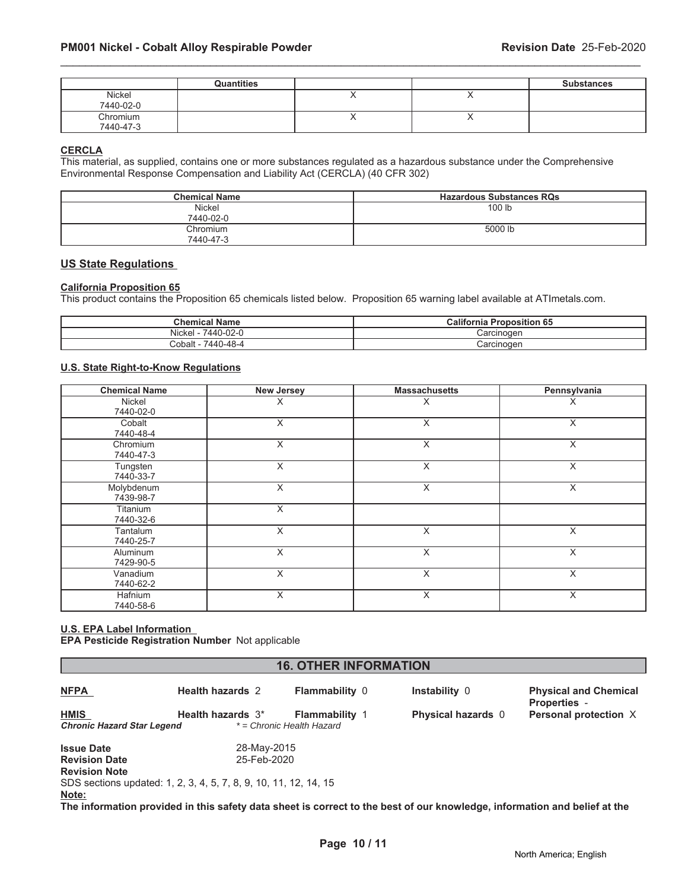|                       | <b>Quantities</b> |   |     | <b>Substances</b> |
|-----------------------|-------------------|---|-----|-------------------|
| Nickel<br>7440-02-0   |                   |   | ,,  |                   |
| Chromium<br>7440-47-3 |                   | , | . . |                   |

# **CERCLA**

This material, as supplied, contains one or more substances regulated as a hazardous substance under the Comprehensive Environmental Response Compensation and Liability Act (CERCLA) (40 CFR 302)

| <b>Chemical Name</b>  | <b>Hazardous Substances RQs</b> |
|-----------------------|---------------------------------|
| Nickel<br>7440-02-0   | 100 lb                          |
| Chromium<br>7440-47-3 | 5000 lb                         |

#### **US State Regulations**

#### **California Proposition 65**

This product contains the Proposition 65 chemicals listed below. Proposition 65 warning label available at ATImetals.com.

| <b>Chemical Name</b>                   | <b>Proposition 65</b><br><b><i><u>Califorr</u></i></b><br>$\ddot{\phantom{1}}$<br>ша |
|----------------------------------------|--------------------------------------------------------------------------------------|
| 7440-02-u<br>$\cdots$<br>Nicke         | `arcinoqon<br>Jai Uli IUU                                                            |
| -<br>0-48-4<br>. 440<br>Cobalt<br>. עד | Carcinogen                                                                           |

#### **U.S. State Right-to-Know Regulations**

| <b>Chemical Name</b>         | <b>New Jersey</b>       | <b>Massachusetts</b> | Pennsylvania |
|------------------------------|-------------------------|----------------------|--------------|
| Nickel<br>7440-02-0          | Χ                       | Х                    | X            |
| Cobalt<br>7440-48-4          | X                       | X                    | X            |
| Chromium<br>7440-47-3        | X                       | X                    | X            |
| Tungsten<br>7440-33-7        | X                       | X                    | X            |
| Molybdenum<br>7439-98-7      | X                       | X                    | X            |
| Titanium<br>7440-32-6        | X                       |                      |              |
| Tantalum<br>7440-25-7        | X                       | X                    | X            |
| <b>Aluminum</b><br>7429-90-5 | X                       | X                    | X            |
| Vanadium<br>7440-62-2        | $\overline{\mathsf{x}}$ | X                    | X            |
| Hafnium<br>7440-58-6         | X                       | X                    | X            |

# **U.S. EPA Label Information**

**EPA Pesticide Registration Number** Not applicable

| <b>16. OTHER INFORMATION</b>      |                                                                  |                           |                                                                                   |                                                     |  |  |
|-----------------------------------|------------------------------------------------------------------|---------------------------|-----------------------------------------------------------------------------------|-----------------------------------------------------|--|--|
| <b>NFPA</b>                       | <b>Health hazards 2</b>                                          | <b>Flammability 0</b>     | Instability 0                                                                     | <b>Physical and Chemical</b><br><b>Properties -</b> |  |  |
| <b>HMIS</b>                       | Health hazards 3 <sup>*</sup>                                    | <b>Flammability 1</b>     | <b>Physical hazards</b> 0                                                         | Personal protection X                               |  |  |
| <b>Chronic Hazard Star Legend</b> |                                                                  | * = Chronic Health Hazard |                                                                                   |                                                     |  |  |
| <b>Issue Date</b>                 | 28-May-2015                                                      |                           |                                                                                   |                                                     |  |  |
| <b>Revision Date</b>              | 25-Feb-2020                                                      |                           |                                                                                   |                                                     |  |  |
| <b>Revision Note</b>              |                                                                  |                           |                                                                                   |                                                     |  |  |
|                                   | SDS sections updated: 1, 2, 3, 4, 5, 7, 8, 9, 10, 11, 12, 14, 15 |                           |                                                                                   |                                                     |  |  |
| Note:                             |                                                                  |                           |                                                                                   |                                                     |  |  |
|                                   |                                                                  |                           | 美しく しょうこうせい こうこうしょう けいけい こうきょう しょくししょう とうこうしょうけい しょうしょう こうしょうしょう しょうしょうしょう しょうしょう |                                                     |  |  |

**The information provided in this safety data sheet is correct to the best of our knowledge, information and belief at the**